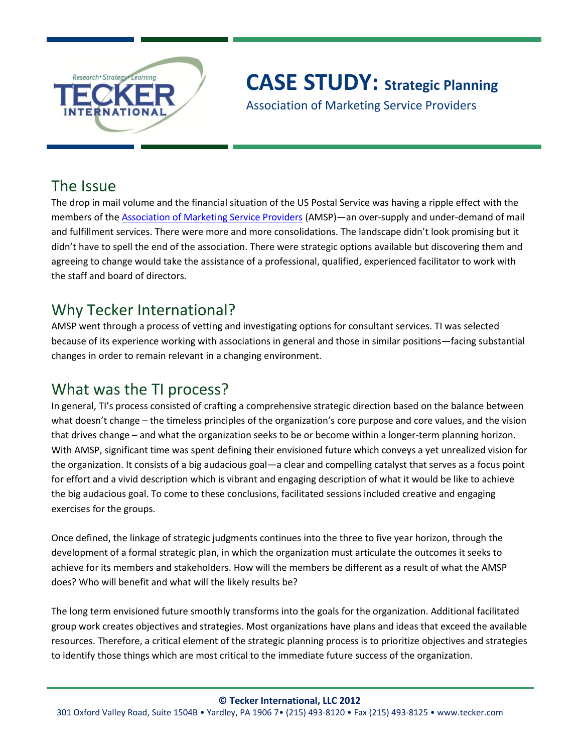

# **CASE STUDY: Strategic Planning**

Association of Marketing Service Providers

## The Issue

The drop in mail volume and the financial situation of the US Postal Service was having a ripple effect with the members of the [Association of Marketing Service Providers](http://amsp.org/) (AMSP)—an over-supply and under-demand of mail and fulfillment services. There were more and more consolidations. The landscape didn't look promising but it didn't have to spell the end of the association. There were strategic options available but discovering them and agreeing to change would take the assistance of a professional, qualified, experienced facilitator to work with the staff and board of directors.

# Why Tecker International?

AMSP went through a process of vetting and investigating options for consultant services. TI was selected because of its experience working with associations in general and those in similar positions—facing substantial changes in order to remain relevant in a changing environment.

# What was the TI process?

In general, TI's process consisted of crafting a comprehensive strategic direction based on the balance between what doesn't change – the timeless principles of the organization's core purpose and core values, and the vision that drives change – and what the organization seeks to be or become within a longer-term planning horizon. With AMSP, significant time was spent defining their envisioned future which conveys a yet unrealized vision for the organization. It consists of a big audacious goal—a clear and compelling catalyst that serves as a focus point for effort and a vivid description which is vibrant and engaging description of what it would be like to achieve the big audacious goal. To come to these conclusions, facilitated sessions included creative and engaging exercises for the groups.

Once defined, the linkage of strategic judgments continues into the three to five year horizon, through the development of a formal strategic plan, in which the organization must articulate the outcomes it seeks to achieve for its members and stakeholders. How will the members be different as a result of what the AMSP does? Who will benefit and what will the likely results be?

The long term envisioned future smoothly transforms into the goals for the organization. Additional facilitated group work creates objectives and strategies. Most organizations have plans and ideas that exceed the available resources. Therefore, a critical element of the strategic planning process is to prioritize objectives and strategies to identify those things which are most critical to the immediate future success of the organization.

#### **© Tecker International, LLC 2012**